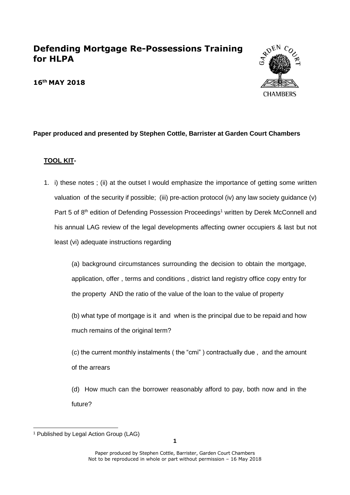# **Defending Mortgage Re-Possessions Training for HLPA**

# **16th MAY 2018**



# **Paper produced and presented by Stephen Cottle, Barrister at Garden Court Chambers**

### **TOOL KIT-**

1. i) these notes ; (ii) at the outset I would emphasize the importance of getting some written valuation of the security if possible; (iii) pre-action protocol (iv) any law society guidance (v) Part 5 of 8<sup>th</sup> edition of Defending Possession Proceedings<sup>1</sup> written by Derek McConnell and his annual LAG review of the legal developments affecting owner occupiers & last but not least (vi) adequate instructions regarding

(a) background circumstances surrounding the decision to obtain the mortgage, application, offer , terms and conditions , district land registry office copy entry for the property AND the ratio of the value of the loan to the value of property

(b) what type of mortgage is it and when is the principal due to be repaid and how much remains of the original term?

(c) the current monthly instalments ( the "cmi" ) contractually due , and the amount of the arrears

(d) How much can the borrower reasonably afford to pay, both now and in the future?

-

<sup>1</sup> Published by Legal Action Group (LAG)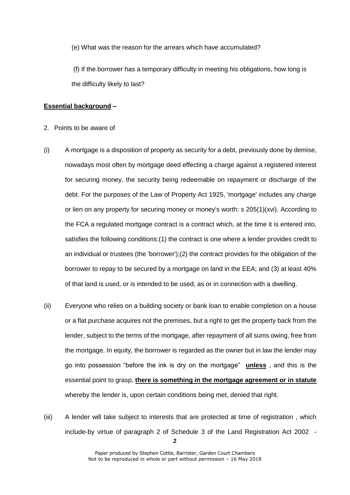(e) What was the reason for the arrears which have accumulated?

(f) If the borrower has a temporary difficulty in meeting his obligations, how long is the difficulty likely to last?

#### **Essential background –**

- 2. Points to be aware of
- (i) A mortgage is a disposition of property as security for a debt, previously done by demise, nowadays most often by mortgage deed effecting a charge against a registered interest for securing money, the security being redeemable on repayment or discharge of the debt. For the purposes of the Law of Property Act 1925, 'mortgage' includes any charge or lien on any property for securing money or money's worth: s 205(1)(xvi). According to the FCA a regulated mortgage contract is a contract which, at the time it is entered into, satisfies the following conditions:(1) the contract is one where a lender provides credit to an individual or trustees (the 'borrower');(2) the contract provides for the obligation of the borrower to repay to be secured by a mortgage on land in the EEA; and (3) at least 40% of that land is used, or is intended to be used, as or in connection with a dwelling.
- (ii) Everyone who relies on a building society or bank loan to enable completion on a house or a flat purchase acquires not the premises, but a right to get the property back from the lender, subject to the terms of the mortgage, after repayment of all sums owing, free from the mortgage. In equity, the borrower is regarded as the owner but in law the lender may go into possession "before the ink is dry on the mortgage" **unless** , and this is the essential point to grasp, **there is something in the mortgage agreement or in statute** whereby the lender is, upon certain conditions being met, denied that right.
- **2** (iii) A lender will take subject to interests that are protected at time of registration , which include-by virtue of paragraph 2 of Schedule 3 of the Land Registration Act 2002 -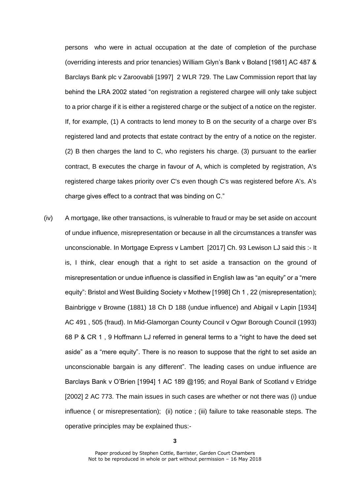persons who were in actual occupation at the date of completion of the purchase (overriding interests and prior tenancies) William Glyn's Bank v Boland [1981] AC 487 & Barclays Bank plc v Zaroovabli [1997] 2 WLR 729. The Law Commission report that lay behind the LRA 2002 stated "on registration a registered chargee will only take subject to a prior charge if it is either a registered charge or the subject of a notice on the register. If, for example, (1) A contracts to lend money to B on the security of a charge over B's registered land and protects that estate contract by the entry of a notice on the register. (2) B then charges the land to C, who registers his charge. (3) pursuant to the earlier contract, B executes the charge in favour of A, which is completed by registration, A's registered charge takes priority over C's even though C's was registered before A's. A's charge gives effect to a contract that was binding on C."

(iv) A mortgage, like other transactions, is vulnerable to fraud or may be set aside on account of undue influence, misrepresentation or because in all the circumstances a transfer was unconscionable. In Mortgage Express v Lambert [2017] Ch. 93 Lewison LJ said this :- It is, I think, clear enough that a right to set aside a transaction on the ground of misrepresentation or undue influence is classified in English law as "an equity" or a "mere equity": Bristol and West Building Society v Mothew [1998] Ch 1 , 22 (misrepresentation); Bainbrigge v Browne (1881) 18 Ch D 188 (undue influence) and Abigail v Lapin [1934] AC 491 , 505 (fraud). In Mid-Glamorgan County Council v Ogwr Borough Council (1993) 68 P & CR 1 , 9 Hoffmann LJ referred in general terms to a "right to have the deed set aside" as a "mere equity". There is no reason to suppose that the right to set aside an unconscionable bargain is any different". The leading cases on undue influence are Barclays Bank v O'Brien [1994] 1 AC 189 @195; and Royal Bank of Scotland v Etridge [2002] 2 AC 773. The main issues in such cases are whether or not there was (i) undue influence ( or misrepresentation); (ii) notice ; (iii) failure to take reasonable steps. The operative principles may be explained thus:-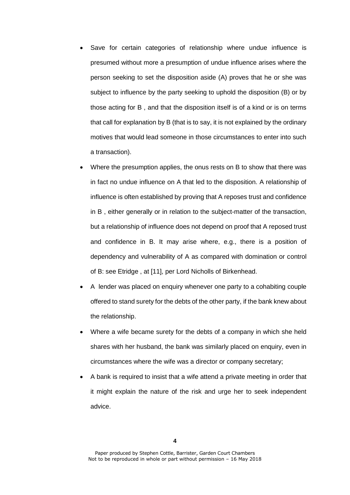- Save for certain categories of relationship where undue influence is presumed without more a presumption of undue influence arises where the person seeking to set the disposition aside (A) proves that he or she was subject to influence by the party seeking to uphold the disposition (B) or by those acting for B , and that the disposition itself is of a kind or is on terms that call for explanation by B (that is to say, it is not explained by the ordinary motives that would lead someone in those circumstances to enter into such a transaction).
- Where the presumption applies, the onus rests on B to show that there was in fact no undue influence on A that led to the disposition. A relationship of influence is often established by proving that A reposes trust and confidence in B , either generally or in relation to the subject-matter of the transaction, but a relationship of influence does not depend on proof that A reposed trust and confidence in B. It may arise where, e.g., there is a position of dependency and vulnerability of A as compared with domination or control of B: see Etridge , at [11], per Lord Nicholls of Birkenhead.
- A lender was placed on enquiry whenever one party to a cohabiting couple offered to stand surety for the debts of the other party, if the bank knew about the relationship.
- Where a wife became surety for the debts of a company in which she held shares with her husband, the bank was similarly placed on enquiry, even in circumstances where the wife was a director or company secretary;
- A bank is required to insist that a wife attend a private meeting in order that it might explain the nature of the risk and urge her to seek independent advice.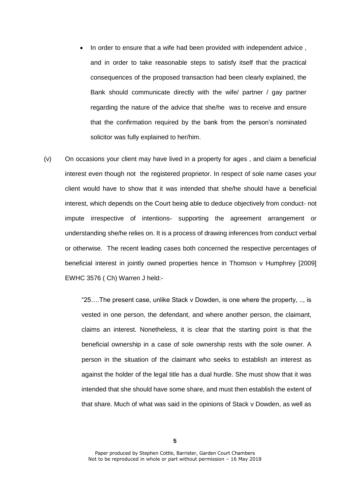- In order to ensure that a wife had been provided with independent advice, and in order to take reasonable steps to satisfy itself that the practical consequences of the proposed transaction had been clearly explained, the Bank should communicate directly with the wife/ partner / gay partner regarding the nature of the advice that she/he was to receive and ensure that the confirmation required by the bank from the person's nominated solicitor was fully explained to her/him.
- (v) On occasions your client may have lived in a property for ages , and claim a beneficial interest even though not the registered proprietor. In respect of sole name cases your client would have to show that it was intended that she/he should have a beneficial interest, which depends on the Court being able to deduce objectively from conduct- not impute irrespective of intentions- supporting the agreement arrangement or understanding she/he relies on. It is a process of drawing inferences from conduct verbal or otherwise. The recent leading cases both concerned the respective percentages of beneficial interest in jointly owned properties hence in Thomson v Humphrey [2009] EWHC 3576 ( Ch) Warren J held:-

"25….The present case, unlike Stack v Dowden, is one where the property, .., is vested in one person, the defendant, and where another person, the claimant, claims an interest. Nonetheless, it is clear that the starting point is that the beneficial ownership in a case of sole ownership rests with the sole owner. A person in the situation of the claimant who seeks to establish an interest as against the holder of the legal title has a dual hurdle. She must show that it was intended that she should have some share, and must then establish the extent of that share. Much of what was said in the opinions of Stack v Dowden, as well as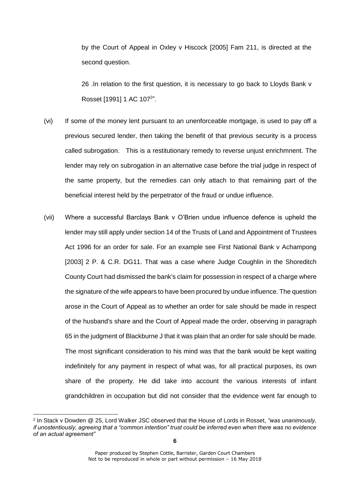by the Court of Appeal in Oxley v Hiscock [2005] Fam 211, is directed at the second question.

26 .In relation to the first question, it is necessary to go back to Lloyds Bank v Rosset [1991] 1 AC 107<sup>2</sup>".

- (vi) If some of the money lent pursuant to an unenforceable mortgage, is used to pay off a previous secured lender, then taking the benefit of that previous security is a process called subrogation. This is a restitutionary remedy to reverse unjust enrichmnent. The lender may rely on subrogation in an alternative case before the trial judge in respect of the same property, but the remedies can only attach to that remaining part of the beneficial interest held by the perpetrator of the fraud or undue influence.
- (vii) Where a successful Barclays Bank v O'Brien undue influence defence is upheld the lender may still apply under section 14 of the Trusts of Land and Appointment of Trustees Act 1996 for an order for sale. For an example see First National Bank v Achampong [2003] 2 P. & C.R. DG11. That was a case where Judge Coughlin in the Shoreditch County Court had dismissed the bank's claim for possession in respect of a charge where the signature of the wife appears to have been procured by undue influence. The question arose in the Court of Appeal as to whether an order for sale should be made in respect of the husband's share and the Court of Appeal made the order, observing in paragraph 65 in the judgment of Blackburne J that it was plain that an order for sale should be made. The most significant consideration to his mind was that the bank would be kept waiting indefinitely for any payment in respect of what was, for all practical purposes, its own share of the property. He did take into account the various interests of infant grandchildren in occupation but did not consider that the evidence went far enough to

-

<sup>2</sup> In Stack v Dowden @ 25, Lord Walker JSC observed that the House of Lords in Rosset, *"was unanimously, if unostentiously, agreeing that a "common intention" trust could be inferred even when there was no evidence of an actual agreement"*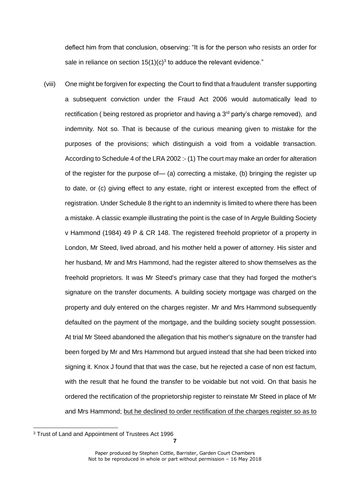deflect him from that conclusion, observing: "It is for the person who resists an order for sale in reliance on section  $15(1)(c)<sup>3</sup>$  to adduce the relevant evidence."

(viii) One might be forgiven for expecting the Court to find that a fraudulent transfer supporting a subsequent conviction under the Fraud Act 2006 would automatically lead to rectification ( being restored as proprietor and having a  $3<sup>rd</sup>$  party's charge removed), and indemnity. Not so. That is because of the curious meaning given to mistake for the purposes of the provisions; which distinguish a void from a voidable transaction. According to Schedule 4 of the LRA 2002 :- (1) The court may make an order for alteration of the register for the purpose of  $-$  (a) correcting a mistake, (b) bringing the register up to date, or (c) giving effect to any estate, right or interest excepted from the effect of registration. Under Schedule 8 the right to an indemnity is limited to where there has been a mistake. A classic example illustrating the point is the case of In Argyle Building Society v Hammond (1984) 49 P & CR 148. The registered freehold proprietor of a property in London, Mr Steed, lived abroad, and his mother held a power of attorney. His sister and her husband, Mr and Mrs Hammond, had the register altered to show themselves as the freehold proprietors. It was Mr Steed's primary case that they had forged the mother's signature on the transfer documents. A building society mortgage was charged on the property and duly entered on the charges register. Mr and Mrs Hammond subsequently defaulted on the payment of the mortgage, and the building society sought possession. At trial Mr Steed abandoned the allegation that his mother's signature on the transfer had been forged by Mr and Mrs Hammond but argued instead that she had been tricked into signing it. Knox J found that that was the case, but he rejected a case of non est factum, with the result that he found the transfer to be voidable but not void. On that basis he ordered the rectification of the proprietorship register to reinstate Mr Steed in place of Mr and Mrs Hammond; but he declined to order rectification of the charges register so as to

-

<sup>3</sup> Trust of Land and Appointment of Trustees Act 1996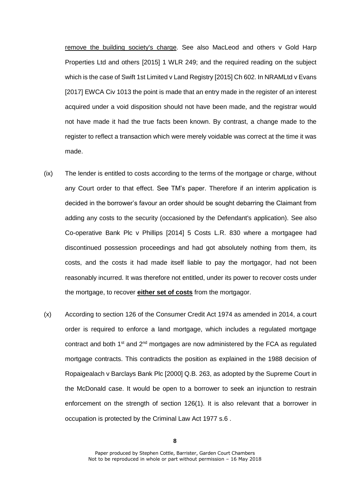remove the building society's charge. See also MacLeod and others v Gold Harp Properties Ltd and others [2015] 1 WLR 249; and the required reading on the subject which is the case of Swift 1st Limited v Land Registry [2015] Ch 602. In NRAMLtd v Evans [2017] EWCA Civ 1013 the point is made that an entry made in the register of an interest acquired under a void disposition should not have been made, and the registrar would not have made it had the true facts been known. By contrast, a change made to the register to reflect a transaction which were merely voidable was correct at the time it was made.

- (ix) The lender is entitled to costs according to the terms of the mortgage or charge, without any Court order to that effect. See TM's paper. Therefore if an interim application is decided in the borrower's favour an order should be sought debarring the Claimant from adding any costs to the security (occasioned by the Defendant's application). See also Co-operative Bank Plc v Phillips [2014] 5 Costs L.R. 830 where a mortgagee had discontinued possession proceedings and had got absolutely nothing from them, its costs, and the costs it had made itself liable to pay the mortgagor, had not been reasonably incurred. It was therefore not entitled, under its power to recover costs under the mortgage, to recover **either set of costs** from the mortgagor.
- (x) According to section 126 of the Consumer Credit Act 1974 as amended in 2014, a court order is required to enforce a land mortgage, which includes a regulated mortgage contract and both 1<sup>st</sup> and 2<sup>nd</sup> mortgages are now administered by the FCA as regulated mortgage contracts. This contradicts the position as explained in the 1988 decision of Ropaigealach v Barclays Bank Plc [2000] Q.B. 263, as adopted by the Supreme Court in the McDonald case. It would be open to a borrower to seek an injunction to restrain enforcement on the strength of section 126(1). It is also relevant that a borrower in occupation is protected by the Criminal Law Act 1977 s.6 .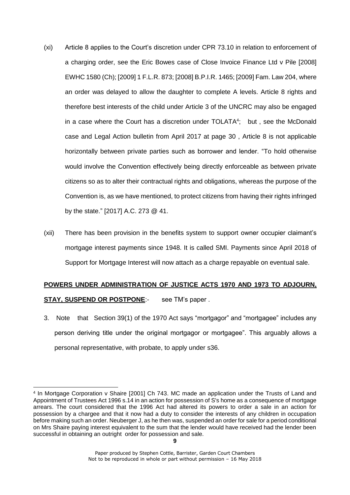- (xi) Article 8 applies to the Court's discretion under CPR 73.10 in relation to enforcement of a charging order, see the Eric Bowes case of Close Invoice Finance Ltd v Pile [2008] EWHC 1580 (Ch); [2009] 1 F.L.R. 873; [2008] B.P.I.R. 1465; [2009] Fam. Law 204, where an order was delayed to allow the daughter to complete A levels. Article 8 rights and therefore best interests of the child under Article 3 of the UNCRC may also be engaged in a case where the Court has a discretion under TOLATA<sup>4</sup>; but, see the McDonald case and Legal Action bulletin from April 2017 at page 30 , Article 8 is not applicable horizontally between private parties such as borrower and lender. "To hold otherwise would involve the Convention effectively being directly enforceable as between private citizens so as to alter their contractual rights and obligations, whereas the purpose of the Convention is, as we have mentioned, to protect citizens from having their rights infringed by the state." [2017] A.C. 273 @ 41.
- (xii) There has been provision in the benefits system to support owner occupier claimant's mortgage interest payments since 1948. It is called SMI. Payments since April 2018 of Support for Mortgage Interest will now attach as a charge repayable on eventual sale.

# **POWERS UNDER ADMINISTRATION OF JUSTICE ACTS 1970 AND 1973 TO ADJOURN, STAY, SUSPEND OR POSTPONE**:- see TM's paper .

3. Note that Section 39(1) of the 1970 Act says "mortgagor" and "mortgagee" includes any person deriving title under the original mortgagor or mortgagee". This arguably allows a personal representative, with probate, to apply under s36.

-

<sup>4</sup> In Mortgage Corporation v Shaire [2001] Ch 743. MC made an application under the Trusts of Land and Appointment of Trustees Act 1996 s.14 in an action for possession of S's home as a consequence of mortgage arrears. The court considered that the 1996 Act had altered its powers to order a sale in an action for possession by a chargee and that it now had a duty to consider the interests of any children in occupation before making such an order. Neuberger J, as he then was, suspended an order for sale for a period conditional on Mrs Shaire paying interest equivalent to the sum that the lender would have received had the lender been successful in obtaining an outright order for possession and sale.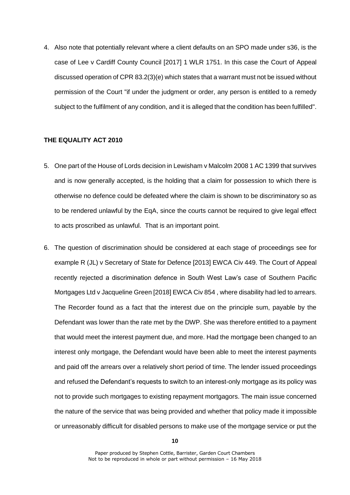4. Also note that potentially relevant where a client defaults on an SPO made under s36, is the case of Lee v Cardiff County Council [2017] 1 WLR 1751. In this case the Court of Appeal discussed operation of CPR 83.2(3)(e) which states that a warrant must not be issued without permission of the Court "if under the judgment or order, any person is entitled to a remedy subject to the fulfilment of any condition, and it is alleged that the condition has been fulfilled".

#### **THE EQUALITY ACT 2010**

- 5. One part of the House of Lords decision in Lewisham v Malcolm 2008 1 AC 1399 that survives and is now generally accepted, is the holding that a claim for possession to which there is otherwise no defence could be defeated where the claim is shown to be discriminatory so as to be rendered unlawful by the EqA, since the courts cannot be required to give legal effect to acts proscribed as unlawful. That is an important point.
- 6. The question of discrimination should be considered at each stage of proceedings see for example R (JL) v Secretary of State for Defence [2013] EWCA Civ 449. The Court of Appeal recently rejected a discrimination defence in South West Law's case of Southern Pacific Mortgages Ltd v Jacqueline Green [2018] EWCA Civ 854 , where disability had led to arrears. The Recorder found as a fact that the interest due on the principle sum, payable by the Defendant was lower than the rate met by the DWP. She was therefore entitled to a payment that would meet the interest payment due, and more. Had the mortgage been changed to an interest only mortgage, the Defendant would have been able to meet the interest payments and paid off the arrears over a relatively short period of time. The lender issued proceedings and refused the Defendant's requests to switch to an interest-only mortgage as its policy was not to provide such mortgages to existing repayment mortgagors. The main issue concerned the nature of the service that was being provided and whether that policy made it impossible or unreasonably difficult for disabled persons to make use of the mortgage service or put the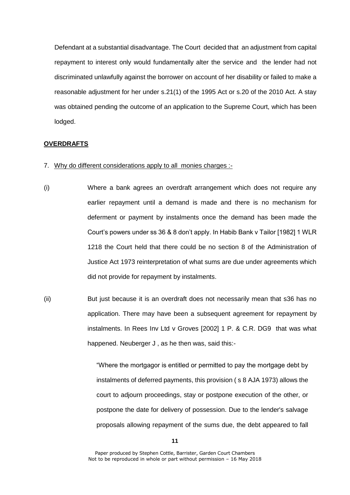Defendant at a substantial disadvantage. The Court decided that an adjustment from capital repayment to interest only would fundamentally alter the service and the lender had not discriminated unlawfully against the borrower on account of her disability or failed to make a reasonable adjustment for her under s.21(1) of the 1995 Act or s.20 of the 2010 Act. A stay was obtained pending the outcome of an application to the Supreme Court, which has been lodged.

#### **OVERDRAFTS**

- 7. Why do different considerations apply to all monies charges :-
- (i) Where a bank agrees an overdraft arrangement which does not require any earlier repayment until a demand is made and there is no mechanism for deferment or payment by instalments once the demand has been made the Court's powers under ss 36 & 8 don't apply. In Habib Bank v Tailor [1982] 1 WLR 1218 the Court held that there could be no section 8 of the Administration of Justice Act 1973 reinterpretation of what sums are due under agreements which did not provide for repayment by instalments.
- (ii) But just because it is an overdraft does not necessarily mean that s36 has no application. There may have been a subsequent agreement for repayment by instalments. In Rees Inv Ltd v Groves [2002] 1 P. & C.R. DG9 that was what happened. Neuberger J, as he then was, said this:-

"Where the mortgagor is entitled or permitted to pay the mortgage debt by instalments of deferred payments, this provision ( s 8 AJA 1973) allows the court to adjourn proceedings, stay or postpone execution of the other, or postpone the date for delivery of possession. Due to the lender's salvage proposals allowing repayment of the sums due, the debt appeared to fall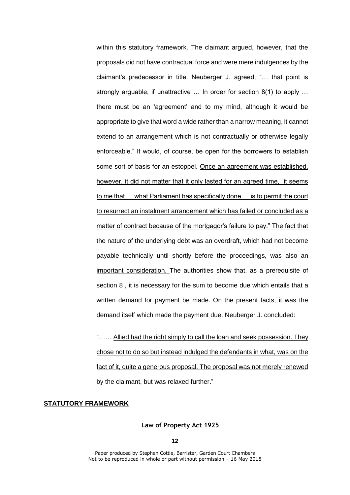within this statutory framework. The claimant argued, however, that the proposals did not have contractual force and were mere indulgences by the claimant's predecessor in title. Neuberger J. agreed, "… that point is strongly arguable, if unattractive … In order for section 8(1) to apply … there must be an 'agreement' and to my mind, although it would be appropriate to give that word a wide rather than a narrow meaning, it cannot extend to an arrangement which is not contractually or otherwise legally enforceable." It would, of course, be open for the borrowers to establish some sort of basis for an estoppel. Once an agreement was established, however, it did not matter that it only lasted for an agreed time, "it seems to me that … what Parliament has specifically done … is to permit the court to resurrect an instalment arrangement which has failed or concluded as a matter of contract because of the mortgagor's failure to pay." The fact that the nature of the underlying debt was an overdraft, which had not become payable technically until shortly before the proceedings, was also an important consideration. The authorities show that, as a prerequisite of section 8 , it is necessary for the sum to become due which entails that a written demand for payment be made. On the present facts, it was the demand itself which made the payment due. Neuberger J. concluded:

"...... Allied had the right simply to call the loan and seek possession. They chose not to do so but instead indulged the defendants in what, was on the fact of it, quite a generous proposal. The proposal was not merely renewed by the claimant, but was relaxed further."

### **STATUTORY FRAMEWORK**

#### **Law of Property Act 1925**

**12**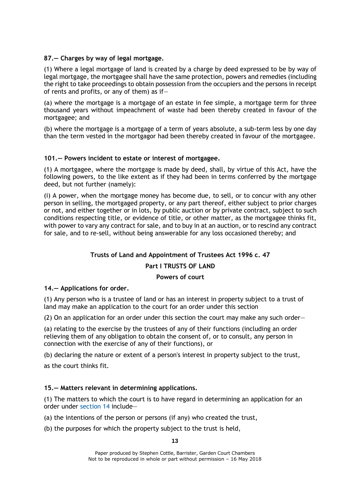### **87.— Charges by way of legal mortgage.**

(1) Where a legal mortgage of land is created by a charge by deed expressed to be by way of legal mortgage, the mortgagee shall have the same protection, powers and remedies (including the right to take proceedings to obtain possession from the occupiers and the persons in receipt of rents and profits, or any of them) as if—

(a) where the mortgage is a mortgage of an estate in fee simple, a mortgage term for three thousand years without impeachment of waste had been thereby created in favour of the mortgagee; and

(b) where the mortgage is a mortgage of a term of years absolute, a sub-term less by one day than the term vested in the mortgagor had been thereby created in favour of the mortgagee.

### **101.— Powers incident to estate or interest of mortgagee.**

(1) A mortgagee, where the mortgage is made by deed, shall, by virtue of this Act, have the following powers, to the like extent as if they had been in terms conferred by the mortgage deed, but not further (namely):

(i) A power, when the mortgage money has become due, to sell, or to concur with any other person in selling, the mortgaged property, or any part thereof, either subject to prior charges or not, and either together or in lots, by public auction or by private contract, subject to such conditions respecting title, or evidence of title, or other matter, as the mortgagee thinks fit, with power to vary any contract for sale, and to buy in at an auction, or to rescind any contract for sale, and to re-sell, without being answerable for any loss occasioned thereby; and

### **Trusts of Land and Appointment of Trustees Act 1996 c. 47**

### **Part I TRUSTS OF LAND**

#### **Powers of court**

### **14.— Applications for order.**

(1) Any person who is a trustee of land or has an interest in property subject to a trust of land may make an application to the court for an order under this section

(2) On an application for an order under this section the court may make any such order—

(a) relating to the exercise by the trustees of any of their functions (including an order relieving them of any obligation to obtain the consent of, or to consult, any person in connection with the exercise of any of their functions), or

(b) declaring the nature or extent of a person's interest in property subject to the trust,

as the court thinks fit.

### **15.— Matters relevant in determining applications.**

(1) The matters to which the court is to have regard in determining an application for an order under [section 14](https://login.westlaw.co.uk/maf/wluk/app/document?src=doc&linktype=ref&context=153&crumb-action=replace&docguid=I226821D0E44F11DA8D70A0E70A78ED65) include—

(a) the intentions of the person or persons (if any) who created the trust,

(b) the purposes for which the property subject to the trust is held,

**13**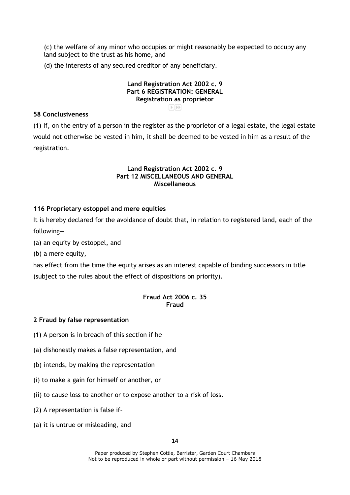(c) the welfare of any minor who occupies or might reasonably be expected to occupy any land subject to the trust as his home, and

(d) the interests of any secured creditor of any beneficiary.

# **Land Registration Act 2002 c. 9 Part 6 REGISTRATION: GENERAL Registration as proprietor**

 $F$ 

### **58 Conclusiveness**

(1) If, on the entry of a person in the register as the proprietor of a legal estate, the legal estate would not otherwise be vested in him, it shall be deemed to be vested in him as a result of the registration.

### **Land Registration Act 2002 c. 9 Part 12 MISCELLANEOUS AND GENERAL Miscellaneous**

### **116 Proprietary estoppel and mere equities**

It is hereby declared for the avoidance of doubt that, in relation to registered land, each of the following—

(a) an equity by estoppel, and

(b) a mere equity,

has effect from the time the equity arises as an interest capable of binding successors in title (subject to the rules about the effect of dispositions on priority).

### **Fraud Act 2006 c. 35 Fraud**

### **2 Fraud by false representation**

(1) A person is in breach of this section if he–

(a) dishonestly makes a false representation, and

(b) intends, by making the representation–

- (i) to make a gain for himself or another, or
- (ii) to cause loss to another or to expose another to a risk of loss.
- (2) A representation is false if–
- (a) it is untrue or misleading, and

**14**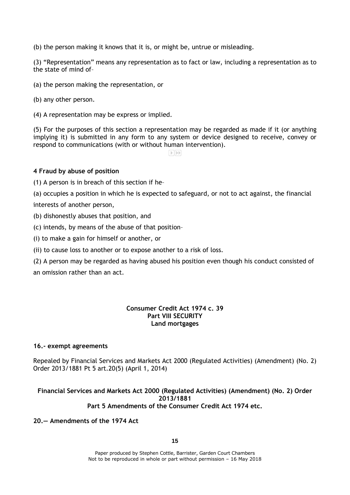(b) the person making it knows that it is, or might be, untrue or misleading.

(3) "Representation" means any representation as to fact or law, including a representation as to the state of mind of–

- (a) the person making the representation, or
- (b) any other person.
- (4) A representation may be express or implied.

(5) For the purposes of this section a representation may be regarded as made if it (or anything implying it) is submitted in any form to any system or device designed to receive, convey or respond to communications (with or without human intervention).

**FRIER** 

#### **4 Fraud by abuse of position**

(1) A person is in breach of this section if he–

(a) occupies a position in which he is expected to safeguard, or not to act against, the financial

interests of another person,

(b) dishonestly abuses that position, and

(c) intends, by means of the abuse of that position–

(i) to make a gain for himself or another, or

(ii) to cause loss to another or to expose another to a risk of loss.

(2) A person may be regarded as having abused his position even though his conduct consisted of

an omission rather than an act.

#### **Consumer Credit Act 1974 c. 39 Part VIII SECURITY Land mortgages**

#### **16.- exempt agreements**

Repealed by Financial Services and Markets Act 2000 (Regulated Activities) (Amendment) (No. 2) Order 2013/1881 Pt 5 art.20(5) (April 1, 2014)

#### **Financial Services and Markets Act 2000 (Regulated Activities) (Amendment) (No. 2) Order 2013/1881 Part 5 Amendments of the Consumer Credit Act 1974 etc.**

### **20.— Amendments of the 1974 Act**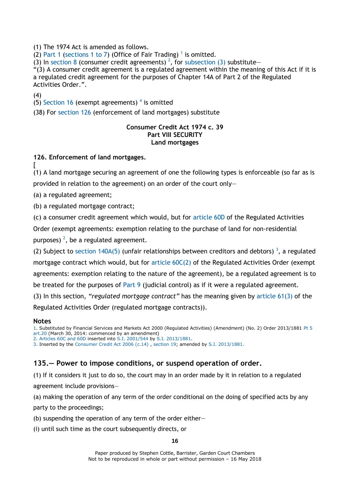(1) The 1974 Act is amended as follows.

(2) [Part 1](https://login.westlaw.co.uk/maf/wluk/app/document?src=doc&linktype=ref&context=264&crumb-action=replace&docguid=I48E8C1D1E44911DA8D70A0E70A78ED65) [\(sections 1 to 7\)](https://login.westlaw.co.uk/maf/wluk/app/document?src=doc&linktype=ref&context=264&crumb-action=replace&docguid=I48E8C1D0E44911DA8D70A0E70A78ED65)(Office of Fair Trading)<sup>1</sup> is omitted.

(3) In [section 8](https://login.westlaw.co.uk/maf/wluk/app/document?src=doc&linktype=ref&context=264&crumb-action=replace&docguid=I48F08A00E44911DA8D70A0E70A78ED65) (consumer credit agreements)  $^2$ [,](https://login.westlaw.co.uk/maf/wluk/app/document?src=doc&linktype=ref&context=249&crumb-action=replace&docguid=IDAD1AC80F8CB11E2A3C68FA06067DBE4#targetfn2) for [subsection \(3\)](https://login.westlaw.co.uk/maf/wluk/app/document?src=doc&linktype=ref&context=264&crumb-action=replace&docguid=I48F08A00E44911DA8D70A0E70A78ED65) substitute-

"(3) A consumer credit agreement is a regulated agreement within the meaning of this Act if it is a regulated credit agreement for the purposes of Chapter 14A of Part 2 of the Regulated Activities Order.".

(4)

(5) [Section 16](https://login.westlaw.co.uk/maf/wluk/app/document?src=doc&linktype=ref&context=264&crumb-action=replace&docguid=I48F719B0E44911DA8D70A0E70A78ED65)(exempt agreements)  $4$  is omitted

(38) For [section 126](https://login.westlaw.co.uk/maf/wluk/app/document?src=doc&linktype=ref&context=264&crumb-action=replace&docguid=I497DD5E0E44911DA8D70A0E70A78ED65) (enforcement of land mortgages) substitute

### **Consumer Credit Act 1974 c. 39 Part VIII SECURITY Land mortgages**

### **126. Enforcement of land mortgages.**

[ (1) A land mortgage securing an agreement of one the following types is enforceable (so far as is provided in relation to the agreement) on an order of the court only—

(a) a regulated agreement;

(b) a regulated mortgage contract;

(c) a consumer credit agreement which would, but for [article 60D](https://login.westlaw.co.uk/maf/wluk/app/document?src=doc&linktype=ref&context=208&crumb-action=replace&docguid=IB70272D1FBF011E2A3A7F2667DE284D2) of the Regulated Activities Order (exempt agreements: exemption relating to the purchase of land for non-residential purposes)<sup>2</sup>,be a regulated agreement.

(2)Subject to section  $140A(5)$  (unfair relationships between creditors and debtors)<sup>3</sup>, a regulated mortgage contract which would, but for [article 60C\(2\)](https://login.westlaw.co.uk/maf/wluk/app/document?src=doc&linktype=ref&context=208&crumb-action=replace&docguid=IB70272D0FBF011E2A3A7F2667DE284D2) of the Regulated Activities Order (exempt agreements: exemption relating to the nature of the agreement), be a regulated agreement is to be treated for the purposes of [Part 9](https://login.westlaw.co.uk/maf/wluk/app/document?src=doc&linktype=ref&context=208&crumb-action=replace&docguid=I497E7220E44911DA8D70A0E70A78ED65) (judicial control) as if it were a regulated agreement.

(3) In this section, *"regulated mortgage contract"* has the meaning given by [article 61\(3\)](https://login.westlaw.co.uk/maf/wluk/app/document?src=doc&linktype=ref&context=208&crumb-action=replace&docguid=IDF252B90E45111DA8D70A0E70A78ED65) of the Regulated Activities Order (regulated mortgage contracts)).

#### **Notes**

[1.](https://login.westlaw.co.uk/maf/wluk/app/document?src=doc&linktype=ref&context=247&crumb-action=replace&docguid=I497DD5E0E44911DA8D70A0E70A78ED65#src-targetfn1) Substituted by Financial Services and Markets Act 2000 (Regulated Activities) (Amendment) (No. 2) Order 2013/1881 [Pt 5](https://login.westlaw.co.uk/maf/wluk/app/document?src=doc&linktype=ref&context=249&crumb-action=replace&docguid=IDAD1AC80F8CB11E2A3C68FA06067DBE4)  [art.20](https://login.westlaw.co.uk/maf/wluk/app/document?src=doc&linktype=ref&context=249&crumb-action=replace&docguid=IDAD1AC80F8CB11E2A3C68FA06067DBE4) (March  $30.2014$ : commenced by an amendment) [2.](https://login.westlaw.co.uk/maf/wluk/app/document?src=doc&linktype=ref&context=247&crumb-action=replace&docguid=I497DD5E0E44911DA8D70A0E70A78ED65#src-targetfn2) [Articles 60C and 60D](https://login.westlaw.co.uk/maf/wluk/app/document?src=doc&linktype=ref&context=249&crumb-action=replace&docguid=IB70272D0FBF011E2A3A7F2667DE284D2) inserted into [S.I. 2001/544](https://login.westlaw.co.uk/maf/wluk/app/document?src=doc&linktype=ref&context=249&crumb-action=replace&docguid=I6D23C521E42311DAA7CF8F68F6EE57AB) b[y S.I. 2013/1881.](https://login.westlaw.co.uk/maf/wluk/app/document?src=doc&linktype=ref&context=249&crumb-action=replace&docguid=I996E88E0F8C511E2BAB2E81DEC81FB5C)

[3.](https://login.westlaw.co.uk/maf/wluk/app/document?src=doc&linktype=ref&context=247&crumb-action=replace&docguid=I497DD5E0E44911DA8D70A0E70A78ED65#src-targetfn3) Inserted by the [Consumer Credit Act 2006 \(c.14\)](https://login.westlaw.co.uk/maf/wluk/app/document?src=doc&linktype=ref&context=249&crumb-action=replace&docguid=I5D16BB10E42311DAA7CF8F68F6EE57AB) , [section 19;](https://login.westlaw.co.uk/maf/wluk/app/document?src=doc&linktype=ref&context=249&crumb-action=replace&docguid=IF6202050E45311DA8D70A0E70A78ED65) amended by [S.I. 2013/1881.](https://login.westlaw.co.uk/maf/wluk/app/document?src=doc&linktype=ref&context=249&crumb-action=replace&docguid=I996E88E0F8C511E2BAB2E81DEC81FB5C)

# **135.— Power to impose conditions, or suspend operation of order.**

(1) If it considers it just to do so, the court may in an order made by it in relation to a regulated agreement include provisions—

(a) making the operation of any term of the order conditional on the doing of specified acts by any

party to the proceedings;

(b) suspending the operation of any term of the order either—

(i) until such time as the court subsequently directs, or

**16**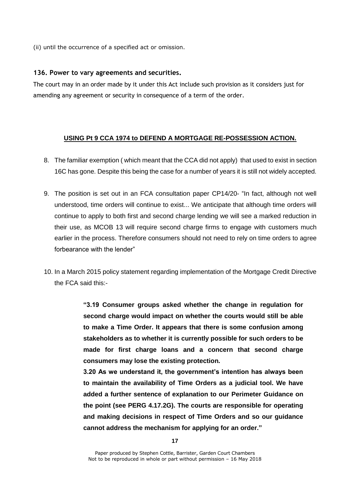(ii) until the occurrence of a specified act or omission.

### **136. Power to vary agreements and securities.**

The court may in an order made by it under this Act include such provision as it considers just for amending any agreement or security in consequence of a term of the order.

### **USING Pt 9 CCA 1974 to DEFEND A MORTGAGE RE-POSSESSION ACTION.**

- 8. The familiar exemption ( which meant that the CCA did not apply) that used to exist in section 16C has gone. Despite this being the case for a number of years it is still not widely accepted.
- 9. The position is set out in an FCA consultation paper CP14/20- "In fact, although not well understood, time orders will continue to exist... We anticipate that although time orders will continue to apply to both first and second charge lending we will see a marked reduction in their use, as MCOB 13 will require second charge firms to engage with customers much earlier in the process. Therefore consumers should not need to rely on time orders to agree forbearance with the lender"
- 10. In a March 2015 policy statement regarding implementation of the Mortgage Credit Directive the FCA said this:-

**"3.19 Consumer groups asked whether the change in regulation for second charge would impact on whether the courts would still be able to make a Time Order. It appears that there is some confusion among stakeholders as to whether it is currently possible for such orders to be made for first charge loans and a concern that second charge consumers may lose the existing protection.**

**3.20 As we understand it, the government's intention has always been to maintain the availability of Time Orders as a judicial tool. We have added a further sentence of explanation to our Perimeter Guidance on the point (see PERG 4.17.2G). The courts are responsible for operating and making decisions in respect of Time Orders and so our guidance cannot address the mechanism for applying for an order."**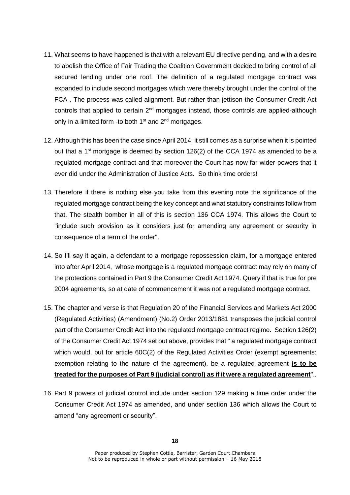- 11. What seems to have happened is that with a relevant EU directive pending, and with a desire to abolish the Office of Fair Trading the Coalition Government decided to bring control of all secured lending under one roof. The definition of a regulated mortgage contract was expanded to include second mortgages which were thereby brought under the control of the FCA . The process was called alignment. But rather than jettison the Consumer Credit Act controls that applied to certain  $2^{nd}$  mortgages instead, those controls are applied-although only in a limited form -to both  $1<sup>st</sup>$  and  $2<sup>nd</sup>$  mortgages.
- 12. Although this has been the case since April 2014, it still comes as a surprise when it is pointed out that a  $1<sup>st</sup>$  mortgage is deemed by section 126(2) of the CCA 1974 as amended to be a regulated mortgage contract and that moreover the Court has now far wider powers that it ever did under the Administration of Justice Acts. So think time orders!
- 13. Therefore if there is nothing else you take from this evening note the significance of the regulated mortgage contract being the key concept and what statutory constraints follow from that. The stealth bomber in all of this is section 136 CCA 1974. This allows the Court to "include such provision as it considers just for amending any agreement or security in consequence of a term of the order".
- 14. So I'll say it again, a defendant to a mortgage repossession claim, for a mortgage entered into after April 2014, whose mortgage is a regulated mortgage contract may rely on many of the protections contained in Part 9 the Consumer Credit Act 1974. Query if that is true for pre 2004 agreements, so at date of commencement it was not a regulated mortgage contract.
- 15. The chapter and verse is that Regulation 20 of the Financial Services and Markets Act 2000 (Regulated Activities) (Amendment) (No.2) Order 2013/1881 transposes the judicial control part of the Consumer Credit Act into the regulated mortgage contract regime. Section 126(2) of the Consumer Credit Act 1974 set out above, provides that " a regulated mortgage contract which would, but for article 60C(2) of the Regulated Activities Order (exempt agreements: exemption relating to the nature of the agreement), be a regulated agreement **is to be treated for the purposes of Part 9 (judicial control) as if it were a regulated agreement**"..
- 16. Part 9 powers of judicial control include under section 129 making a time order under the Consumer Credit Act 1974 as amended, and under section 136 which allows the Court to amend "any agreement or security".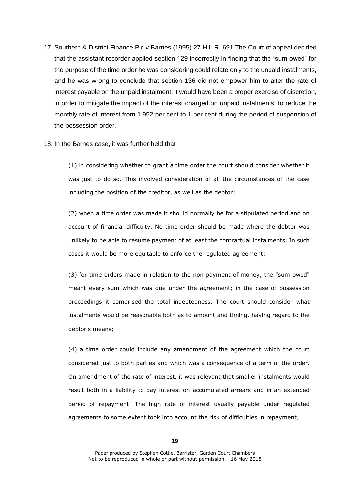17. Southern & District Finance Plc v Barnes (1995) 27 H.L.R. 691 The Court of appeal decided that the assistant recorder applied section 129 incorrectly in finding that the "sum owed" for the purpose of the time order he was considering could relate only to the unpaid instalments, and he was wrong to conclude that section 136 did not empower him to alter the rate of interest payable on the unpaid instalment; it would have been a proper exercise of discretion, in order to mitigate the impact of the interest charged on unpaid instalments, to reduce the monthly rate of interest from 1.952 per cent to 1 per cent during the period of suspension of the possession order.

#### 18. In the Barnes case, it was further held that

(1) in considering whether to grant a time order the court should consider whether it was just to do so. This involved consideration of all the circumstances of the case including the position of the creditor, as well as the debtor;

(2) when a time order was made it should normally be for a stipulated period and on account of financial difficulty. No time order should be made where the debtor was unlikely to be able to resume payment of at least the contractual instalments. In such cases it would be more equitable to enforce the regulated agreement;

(3) for time orders made in relation to the non payment of money, the "sum owed" meant every sum which was due under the agreement; in the case of possession proceedings it comprised the total indebtedness. The court should consider what instalments would be reasonable both as to amount and timing, having regard to the debtor's means;

(4) a time order could include any amendment of the agreement which the court considered just to both parties and which was a consequence of a term of the order. On amendment of the rate of interest, it was relevant that smaller instalments would result both in a liability to pay interest on accumulated arrears and in an extended period of repayment. The high rate of interest usually payable under regulated agreements to some extent took into account the risk of difficulties in repayment;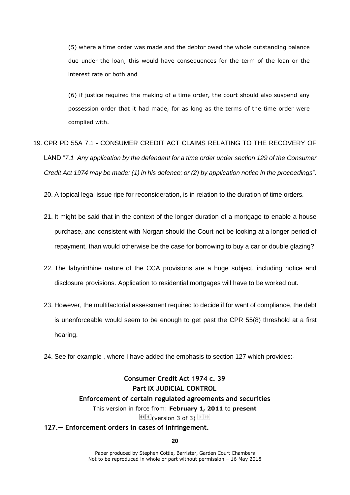(5) where a time order was made and the debtor owed the whole outstanding balance due under the loan, this would have consequences for the term of the loan or the interest rate or both and

(6) if justice required the making of a time order, the court should also suspend any possession order that it had made, for as long as the terms of the time order were complied with.

- 19. CPR PD 55A 7.1 CONSUMER CREDIT ACT CLAIMS RELATING TO THE RECOVERY OF LAND "*7.1 Any application by the defendant for a time order under section 129 of the Consumer Credit Act 1974 may be made: (1) in his defence; or (2) by application notice in the proceedings*".
	- 20. A topical legal issue ripe for reconsideration, is in relation to the duration of time orders.
	- 21. It might be said that in the context of the longer duration of a mortgage to enable a house purchase, and consistent with Norgan should the Court not be looking at a longer period of repayment, than would otherwise be the case for borrowing to buy a car or double glazing?
	- 22. The labyrinthine nature of the CCA provisions are a huge subject, including notice and disclosure provisions. Application to residential mortgages will have to be worked out.
	- 23. However, the multifactorial assessment required to decide if for want of compliance, the debt is unenforceable would seem to be enough to get past the CPR 55(8) threshold at a first hearing.
	- 24. See for example , where I have added the emphasis to section 127 which provides:-

**Consumer Credit Act 1974 c. 39 Part IX JUDICIAL CONTROL Enforcement of certain regulated agreements and securities** This version in force from: **February 1, 2011** to **present**  $\underline{\mathbb{H}}$  (version 3 of 3)  $\underline{\mathbb{H}}$ 

# **127.— Enforcement orders in cases of infringement.**

**20**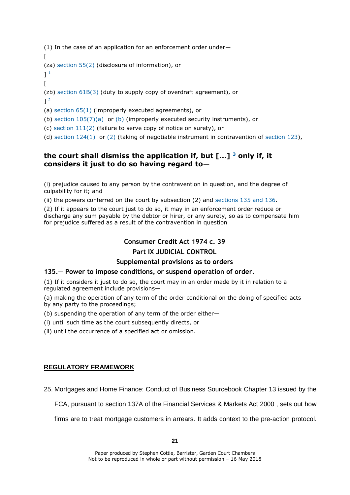(1) In the case of an application for an enforcement order under—  $\sqrt{ }$ (za) [section 55\(2\)](https://login.westlaw.co.uk/maf/wluk/app/document?src=doc&linktype=ref&context=335&crumb-action=replace&docguid=I4929E980E44911DA8D70A0E70A78ED65) (disclosure of information), or  $1<sup>1</sup>$  $1<sup>1</sup>$  $\sqrt{ }$ (zb) [section 61B\(3\)](https://login.westlaw.co.uk/maf/wluk/app/document?src=doc&linktype=ref&context=335&crumb-action=replace&docguid=IF4D8E810688111DF997CDE92D9247221) (duty to supply copy of overdraft agreement), or  $1<sup>2</sup>$  $1<sup>2</sup>$  $1<sup>2</sup>$ (a) section  $65(1)$  (improperly executed agreements), or (b) section  $105(7)(a)$  or [\(b\)](https://login.westlaw.co.uk/maf/wluk/app/document?src=doc&linktype=ref&context=335&crumb-action=replace&docguid=I496B8660E44911DA8D70A0E70A78ED65) (improperly executed security instruments), or (c) [section 111\(2\)](https://login.westlaw.co.uk/maf/wluk/app/document?src=doc&linktype=ref&context=335&crumb-action=replace&docguid=I49706860E44911DA8D70A0E70A78ED65) (failure to serve copy of notice on surety), or

(d) [section 124\(1\)](https://login.westlaw.co.uk/maf/wluk/app/document?src=doc&linktype=ref&context=335&crumb-action=replace&docguid=I497CEB80E44911DA8D70A0E70A78ED65) or [\(2\)](https://login.westlaw.co.uk/maf/wluk/app/document?src=doc&linktype=ref&context=335&crumb-action=replace&docguid=I497CEB80E44911DA8D70A0E70A78ED65) (taking of negotiable instrument in contravention of [section 123\)](https://login.westlaw.co.uk/maf/wluk/app/document?src=doc&linktype=ref&context=335&crumb-action=replace&docguid=I497C2831E44911DA8D70A0E70A78ED65),

# **the court shall dismiss the application if, but [...] [3](https://login.westlaw.co.uk/maf/wluk/app/document?src=doc&linktype=ref&context=333&crumb-action=replace&docguid=I497E2401E44911DA8D70A0E70A78ED65#targetfn3) only if, it considers it just to do so having regard to—**

(i) prejudice caused to any person by the contravention in question, and the degree of culpability for it; and

(ii) the powers conferred on the court by subsection (2) and [sections 135 and 136.](https://login.westlaw.co.uk/maf/wluk/app/document?src=doc&linktype=ref&context=335&crumb-action=replace&docguid=I4982B7E0E44911DA8D70A0E70A78ED65)

(2) If it appears to the court just to do so, it may in an enforcement order reduce or discharge any sum payable by the debtor or hirer, or any surety, so as to compensate him for prejudice suffered as a result of the contravention in question

# **Consumer Credit Act 1974 c. 39 Part IX JUDICIAL CONTROL**

### **Supplemental provisions as to orders**

### **135.— Power to impose conditions, or suspend operation of order.**

(1) If it considers it just to do so, the court may in an order made by it in relation to a regulated agreement include provisions—

(a) making the operation of any term of the order conditional on the doing of specified acts by any party to the proceedings;

(b) suspending the operation of any term of the order either—

(i) until such time as the court subsequently directs, or

(ii) until the occurrence of a specified act or omission.

### **REGULATORY FRAMEWORK**

25. Mortgages and Home Finance: Conduct of Business Sourcebook Chapter 13 issued by the

FCA, pursuant to section 137A of the Financial Services & Markets Act 2000 , sets out how

firms are to treat mortgage customers in arrears. It adds context to the pre-action protocol.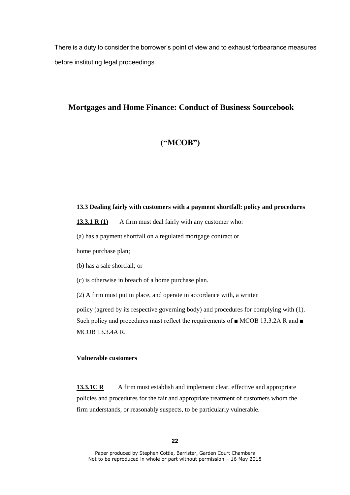There is a duty to consider the borrower's point of view and to exhaust forbearance measures before instituting legal proceedings.

## **Mortgages and Home Finance: Conduct of Business Sourcebook**

# **("MCOB")**

**13.3 Dealing fairly with customers with a payment shortfall: policy and procedures 13.3.1 R (1)** A firm must deal fairly with any customer who: (a) has a payment shortfall on a regulated mortgage contract or home purchase plan;

(b) has a sale shortfall; or

(c) is otherwise in breach of a home purchase plan.

(2) A firm must put in place, and operate in accordance with, a written

policy (agreed by its respective governing body) and procedures for complying with (1). Such policy and procedures must reflect the requirements of ■ MCOB 13.3.2A R and ■ MCOB 13.3.4A R.

### **Vulnerable customers**

**13.3.1C R** A firm must establish and implement clear, effective and appropriate policies and procedures for the fair and appropriate treatment of customers whom the firm understands, or reasonably suspects, to be particularly vulnerable.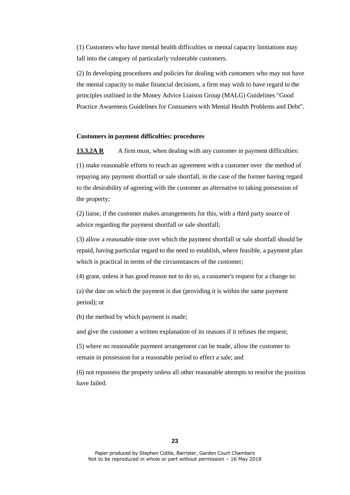(1) Customers who have mental health difficulties or mental capacity limitations may fall into the category of particularly vulnerable customers.

(2) In developing procedures and policies for dealing with customers who may not have the mental capacity to make financial decisions, a firm may wish to have regard to the principles outlined in the Money Advice Liaison Group (MALG) Guidelines "Good Practice Awareness Guidelines for Consumers with Mental Health Problems and Debt".

#### **Customers in payment difficulties: procedures**

**13.3.2A R** A firm must, when dealing with any customer in payment difficulties:

(1) make reasonable efforts to reach an agreement with a customer over the method of repaying any payment shortfall or sale shortfall, in the case of the former having regard to the desirability of agreeing with the customer an alternative to taking possession of the property;

(2) liaise, if the customer makes arrangements for this, with a third party source of advice regarding the payment shortfall or sale shortfall;

(3) allow a reasonable time over which the payment shortfall or sale shortfall should be repaid, having particular regard to the need to establish, where feasible, a payment plan which is practical in terms of the circumstances of the customer;

(4) grant, unless it has good reason not to do so, a customer's request for a change to:

(a) the date on which the payment is due (providing it is within the same payment period); or

(b) the method by which payment is made;

and give the customer a written explanation of its reasons if it refuses the request;

(5) where no reasonable payment arrangement can be made, allow the customer to remain in possession for a reasonable period to effect a sale; and

(6) not repossess the property unless all other reasonable attempts to resolve the position have failed.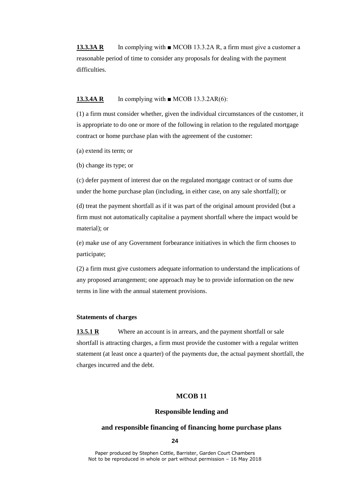**13.3.3A R** In complying with ■ MCOB 13.3.2A R, a firm must give a customer a reasonable period of time to consider any proposals for dealing with the payment difficulties.

#### **13.3.4A R** In complying with  $\blacksquare$  MCOB 13.3.2AR(6):

(1) a firm must consider whether, given the individual circumstances of the customer, it is appropriate to do one or more of the following in relation to the regulated mortgage contract or home purchase plan with the agreement of the customer:

(a) extend its term; or

(b) change its type; or

(c) defer payment of interest due on the regulated mortgage contract or of sums due under the home purchase plan (including, in either case, on any sale shortfall); or

(d) treat the payment shortfall as if it was part of the original amount provided (but a firm must not automatically capitalise a payment shortfall where the impact would be material); or

(e) make use of any Government forbearance initiatives in which the firm chooses to participate;

(2) a firm must give customers adequate information to understand the implications of any proposed arrangement; one approach may be to provide information on the new terms in line with the annual statement provisions.

#### **Statements of charges**

**13.5.1 R** Where an account is in arrears, and the payment shortfall or sale shortfall is attracting charges, a firm must provide the customer with a regular written statement (at least once a quarter) of the payments due, the actual payment shortfall, the charges incurred and the debt.

#### **MCOB 11**

#### **Responsible lending and**

### **and responsible financing of financing home purchase plans**

**24**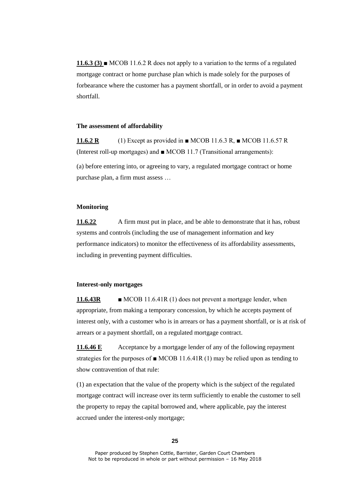**11.6.3 (3)** ■ MCOB 11.6.2 R does not apply to a variation to the terms of a regulated mortgage contract or home purchase plan which is made solely for the purposes of forbearance where the customer has a payment shortfall, or in order to avoid a payment shortfall.

#### **The assessment of affordability**

**11.6.2 R** (1) Except as provided in ■ MCOB 11.6.3 R, ■ MCOB 11.6.57 R (Interest roll-up mortgages) and  $\blacksquare$  MCOB 11.7 (Transitional arrangements):

(a) before entering into, or agreeing to vary, a regulated mortgage contract or home purchase plan, a firm must assess …

#### **Monitoring**

**11.6.22** A firm must put in place, and be able to demonstrate that it has, robust systems and controls (including the use of management information and key performance indicators) to monitor the effectiveness of its affordability assessments, including in preventing payment difficulties.

#### **Interest-only mortgages**

**11.6.43R** ■ MCOB 11.6.41R (1) does not prevent a mortgage lender, when appropriate, from making a temporary concession, by which he accepts payment of interest only, with a customer who is in arrears or has a payment shortfall, or is at risk of arrears or a payment shortfall, on a regulated mortgage contract.

**11.6.46 E** Acceptance by a mortgage lender of any of the following repayment strategies for the purposes of  $\blacksquare$  MCOB 11.6.41R (1) may be relied upon as tending to show contravention of that rule:

(1) an expectation that the value of the property which is the subject of the regulated mortgage contract will increase over its term sufficiently to enable the customer to sell the property to repay the capital borrowed and, where applicable, pay the interest accrued under the interest-only mortgage;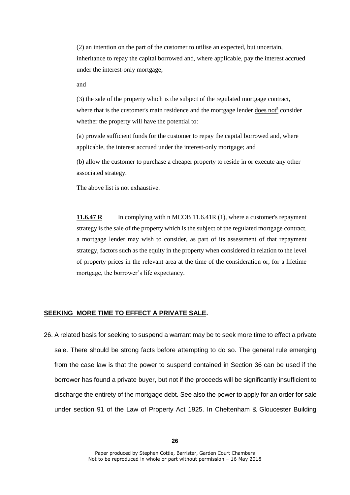(2) an intention on the part of the customer to utilise an expected, but uncertain, inheritance to repay the capital borrowed and, where applicable, pay the interest accrued under the interest-only mortgage;

and

(3) the sale of the property which is the subject of the regulated mortgage contract, where that is the customer's main residence and the mortgage lender  $\frac{d}{d}$  consider whether the property will have the potential to:

(a) provide sufficient funds for the customer to repay the capital borrowed and, where applicable, the interest accrued under the interest-only mortgage; and

(b) allow the customer to purchase a cheaper property to reside in or execute any other associated strategy.

The above list is not exhaustive.

**11.6.47 R** In complying with n MCOB 11.6.41R (1), where a customer's repayment strategy is the sale of the property which is the subject of the regulated mortgage contract, a mortgage lender may wish to consider, as part of its assessment of that repayment strategy, factors such as the equity in the property when considered in relation to the level of property prices in the relevant area at the time of the consideration or, for a lifetime mortgage, the borrower's life expectancy.

### **SEEKING MORE TIME TO EFFECT A PRIVATE SALE.**

-

26. A related basis for seeking to suspend a warrant may be to seek more time to effect a private sale. There should be strong facts before attempting to do so. The general rule emerging from the case law is that the power to suspend contained in Section 36 can be used if the borrower has found a private buyer, but not if the proceeds will be significantly insufficient to discharge the entirety of the mortgage debt. See also the power to apply for an order for sale under section 91 of the Law of Property Act 1925. In Cheltenham & Gloucester Building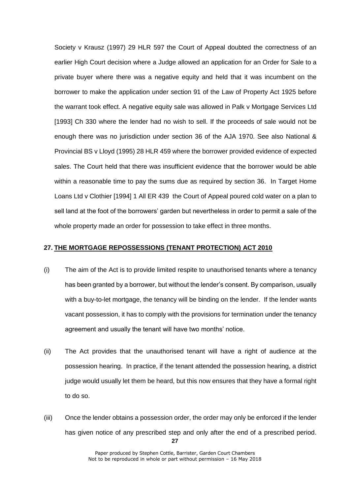Society v Krausz (1997) 29 HLR 597 the Court of Appeal doubted the correctness of an earlier High Court decision where a Judge allowed an application for an Order for Sale to a private buyer where there was a negative equity and held that it was incumbent on the borrower to make the application under section 91 of the Law of Property Act 1925 before the warrant took effect. A negative equity sale was allowed in Palk v Mortgage Services Ltd [1993] Ch 330 where the lender had no wish to sell. If the proceeds of sale would not be enough there was no jurisdiction under section 36 of the AJA 1970. See also National & Provincial BS v Lloyd (1995) 28 HLR 459 where the borrower provided evidence of expected sales. The Court held that there was insufficient evidence that the borrower would be able within a reasonable time to pay the sums due as required by section 36. In Target Home Loans Ltd v Clothier [1994] 1 All ER 439 the Court of Appeal poured cold water on a plan to sell land at the foot of the borrowers' garden but nevertheless in order to permit a sale of the whole property made an order for possession to take effect in three months.

### **27. THE MORTGAGE REPOSSESSIONS (TENANT PROTECTION) ACT 2010**

- (i) The aim of the Act is to provide limited respite to unauthorised tenants where a tenancy has been granted by a borrower, but without the lender's consent. By comparison, usually with a buy-to-let mortgage, the tenancy will be binding on the lender. If the lender wants vacant possession, it has to comply with the provisions for termination under the tenancy agreement and usually the tenant will have two months' notice.
- (ii) The Act provides that the unauthorised tenant will have a right of audience at the possession hearing. In practice, if the tenant attended the possession hearing, a district judge would usually let them be heard, but this now ensures that they have a formal right to do so.
- **27** (iii) Once the lender obtains a possession order, the order may only be enforced if the lender has given notice of any prescribed step and only after the end of a prescribed period.